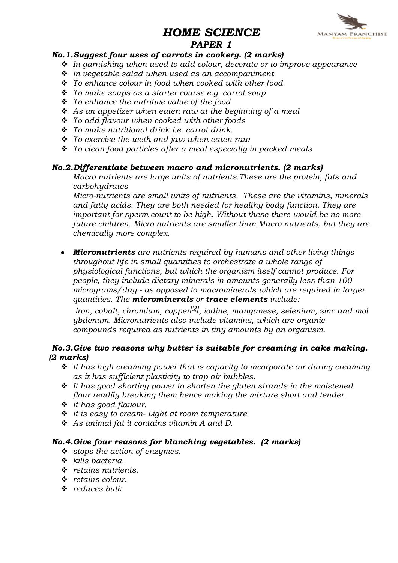# HOME SCIENCE



# PAPER 1

# No.1.Suggest four uses of carrots in cookery. (2 marks)

- $\cdot$  In garnishing when used to add colour, decorate or to improve appearance
- $\cdot$  In vegetable salad when used as an accompaniment
- $\cdot \cdot$  To enhance colour in food when cooked with other food
- $\div$  To make soups as a starter course e.g. carrot soup
- $\cdot \cdot$  To enhance the nutritive value of the food
- $\div$  As an appetizer when eaten raw at the beginning of a meal
- $\div$  To add flavour when cooked with other foods
- $\div$  To make nutritional drink i.e. carrot drink.
- $\div$  To exercise the teeth and jaw when eaten raw
- $\cdot$  To clean food particles after a meal especially in packed meals

#### No.2.Differentiate between macro and micronutrients. (2 marks)

Macro nutrients are large units of nutrients.These are the protein, fats and carbohydrates

Micro-nutrients are small units of nutrients. These are the vitamins, minerals and fatty acids. They are both needed for healthy body function. They are important for sperm count to be high. Without these there would be no more future children. Micro nutrients are smaller than Macro nutrients, but they are chemically more complex.

**Micronutrients** are nutrients required by humans and other living things  $\bullet$ throughout life in small quantities to orchestrate a whole range of physiological functions, but which the organism itself cannot produce. For people, they include dietary minerals in amounts generally less than 100 micrograms/day - as opposed to macrominerals which are required in larger quantities. The **microminerals** or **trace elements** include:

iron, cobalt, chromium, copper<sup>[2]</sup>, iodine, manganese, selenium, zinc and mol ybdenum. Micronutrients also include vitamins, which are organic compounds required as nutrients in tiny amounts by an organism.

# No.3.Give two reasons why butter is suitable for creaming in cake making. (2 marks)

- $\div$  It has high creaming power that is capacity to incorporate air during creaming as it has sufficient plasticity to trap air bubbles.
- $\div$  It has good shorting power to shorten the gluten strands in the moistened flour readily breaking them hence making the mixture short and tender.
- $\cdot \cdot$  It has good flavour.
- $\cdot \cdot$  It is easy to cream-Light at room temperature
- $\triangleleft$  As animal fat it contains vitamin A and D.

#### No.4.Give four reasons for blanching vegetables. (2 marks)

- $\div$  stops the action of enzymes.
- $\div$  kills bacteria.
- $\cdot$  retains nutrients.
- $\div$  retains colour.
- $\div$  reduces bulk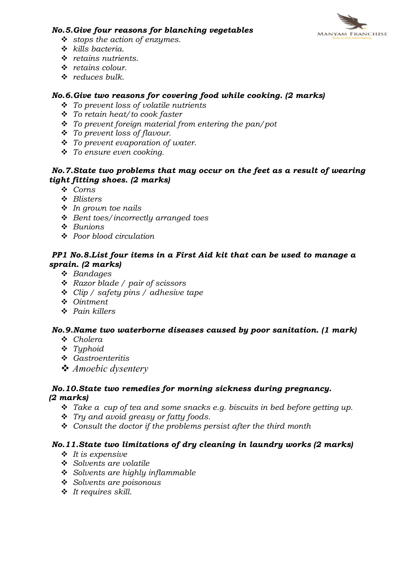

#### No.5.Give four reasons for blanching vegetables

- $\div$  stops the action of enzymes.
- $\div$  kills bacteria.
- $\cdot$  retains nutrients.
- $\div$  retains colour.
- $\div$  reduces bulk.

# No.6.Give two reasons for covering food while cooking. (2 marks)

- $\div$  To prevent loss of volatile nutrients
- $\div$  To retain heat/to cook faster
- $\cdot \cdot$  To prevent foreign material from entering the pan/pot
- $\cdot$  To prevent loss of flavour.
- $\cdot \cdot$  To prevent evaporation of water.
- $\div$  To ensure even cooking.

# No.7.State two problems that may occur on the feet as a result of wearing tight fitting shoes. (2 marks)

- $\ddot{\bullet}$  Corns
- v Blisters
- $\cdot$  In grown toe nails
- $\triangleleft$  Bent toes/incorrectly arranged toes
- $\triangle$  Bunions
- $\div$  Poor blood circulation

# PP1 No.8.List four items in a First Aid kit that can be used to manage a sprain. (2 marks)

- $\triangleleft$  Bandages
- $\triangleleft$  Razor blade / pair of scissors
- $\div$  Clip / safety pins / adhesive tape
- v Ointment
- $\triangle$  Pain killers

# No.9.Name two waterborne diseases caused by poor sanitation. (1 mark)

- $\triangleleft$  Cholera
- $\div$  Typhoid
- v Gastroenteritis
- v *Amoebic dysentery*

#### No.10.State two remedies for morning sickness during pregnancy. (2 marks)

- $\cdot \cdot$  Take a cup of tea and some snacks e.g. biscuits in bed before getting up.
- $\cdot \cdot$  Try and avoid greasy or fatty foods.
- $\div$  Consult the doctor if the problems persist after the third month

# No.11.State two limitations of dry cleaning in laundry works (2 marks)

- $\cdot \cdot$  It is expensive
- ❖ Solvents are volatile
- $\div$  Solvents are highly inflammable
- $\div$  Solvents are poisonous
- $\cdot$  It requires skill.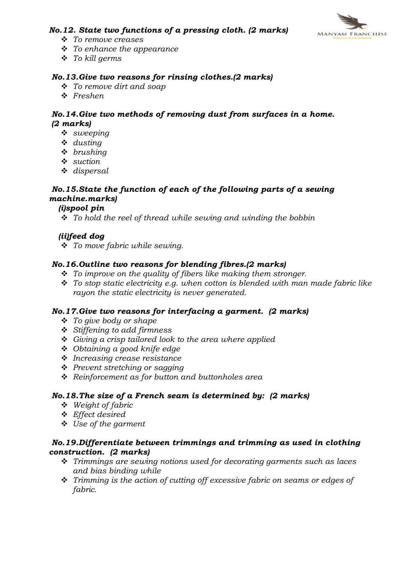# No.12. State two functions of a pressing cloth. (2 marks)



- v To remove creases
- $\div$  To enhance the appearance
- $\div$  To kill germs

#### No.13.Give two reasons for rinsing clothes.(2 marks)

- $\div$  To remove dirt and soap
- $\div$  Freshen

#### No.14.Give two methods of removing dust from surfaces in a home. (2 marks)

- $\cdot$  sweeping
- $\triangleleft$  dusting
- $\cdot$  brushing
- $\cdot$  suction
- $\triangleleft$  dispersal

# No.15.State the function of each of the following parts of a sewing machine.marks)

#### (i)spool pin

 $\cdot \cdot$  To hold the reel of thread while sewing and winding the bobbin

#### (ii)feed dog

 $\div$  To move fabric while sewing.

#### No.16.Outline two reasons for blending fibres.(2 marks)

- $\cdot \cdot$  To improve on the quality of fibers like making them stronger.
- $\div$  To stop static electricity e.g. when cotton is blended with man made fabric like rayon the static electricity is never generated.

#### No.17.Give two reasons for interfacing a garment. (2 marks)

- $\div$  To give body or shape
- $\div$  Stiffening to add firmness
- $\div$  Giving a crisp tailored look to the area where applied
- $\div$  Obtaining a good knife edge
- $\div$  Increasing crease resistance
- ❖ Prevent stretching or sagging
- $\div$  Reinforcement as for button and buttonholes area

#### No.18.The size of a French seam is determined by: (2 marks)

- $\bullet$  Weight of fabric
- v Effect desired
- $\div$  Use of the garment

#### No.19.Differentiate between trimmings and trimming as used in clothing construction. (2 marks)

- $\cdot \cdot$  Trimmings are sewing notions used for decorating garments such as laces and bias binding while
- $\hat{\mathbf{v}}$  Trimming is the action of cutting off excessive fabric on seams or edges of fabric.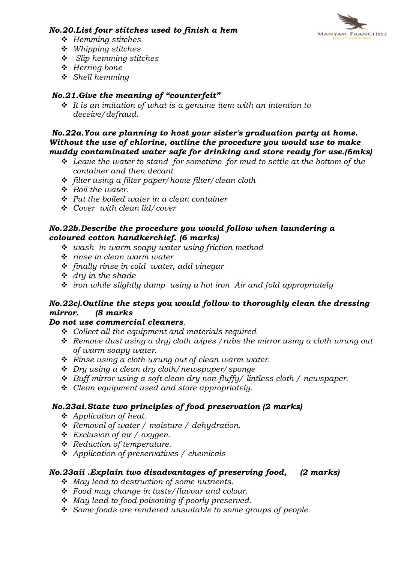# No.20.List four stitches used to finish a hem



- $\div$  Hemming stitches
- $\div$  Whipping stitches
- $\div$  Slip hemming stitches
- $\div$  Herring bone
- $\triangleleft$  Shell hemming

# No.21.Give the meaning of "counterfeit"

 $\cdot \cdot$  It is an imitation of what is a genuine item with an intention to deceive/defraud.

# No.22a.You are planning to host your sister's graduation party at home. Without the use of chlorine, outline the procedure you would use to make muddy contaminated water safe for drinking and store ready for use.(6mks)

- $\div$  Leave the water to stand for sometime for mud to settle at the bottom of the container and then decant
- v filter using a filter paper/home filter/clean cloth
- $\bullet$  Boil the water.
- $\div$  Put the boiled water in a clean container
- $\div$  Cover with clean lid/cover

# No.22b.Describe the procedure you would follow when laundering a coloured cotton handkerchief. (6 marks)

- $\cdot$  wash in warm soapy water using friction method
- $\div$  rinse in clean warm water
- $\div$  finally rinse in cold water, add vinegar
- $\div$  dry in the shade
- $\div$  iron while slightly damp using a hot iron Air and fold appropriately

# No.22c).Outline the steps you would follow to thoroughly clean the dressing mirror. (8 marks

# Do not use commercial cleaners.

- $\div$  Collect all the equipment and materials required
- $\triangleleft$  Remove dust using a dry) cloth wipes / rubs the mirror using a cloth wrung out of warm soapy water.
- $\hat{\mathbf{v}}$  Rinse using a cloth wrung out of clean warm water.
- $\div$  Dry using a clean dry cloth/newspaper/sponge
- $\div$  Buff mirror using a soft clean dry non-fluffy/ lintless cloth / newspaper.
- $\triangleleft$  Clean equipment used and store appropriately.

# No.23ai.State two principles of food preservation (2 marks)

- $\triangleleft$  Application of heat.
- $\triangleleft$  Removal of water / moisture / dehydration.
- $\div$  Exclusion of air / oxygen.
- **❖** Reduction of temperature.
- $\triangleleft$  Application of preservatives / chemicals

# No.23aii .Explain two disadvantages of preserving food, (2 marks)

- $\triangleleft$  May lead to destruction of some nutrients.
- $\div$  Food may change in taste/flavour and colour.
- \* May lead to food poisoning if poorly preserved.
- $\cdot$  Some foods are rendered unsuitable to some groups of people.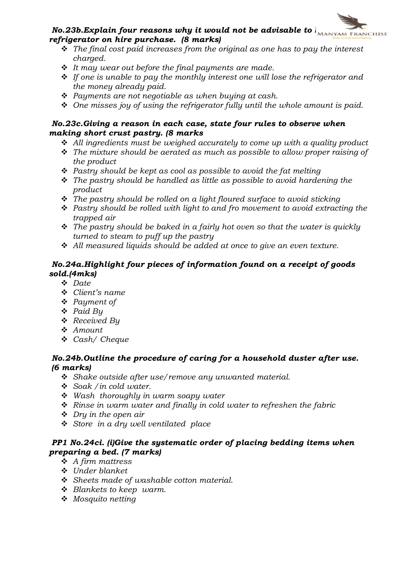# $\textit{No.} 23b.$  Explain four reasons why it would not be advisable to  $\overline{b_{\text{MANYAM FRMCHISE}}}$ refrigerator on hire purchase. (8 marks)

- $\hat{\mathbf{v}}$  The final cost paid increases from the original as one has to pay the interest charged.
- $\div$  It may wear out before the final payments are made.
- $\div$  If one is unable to pay the monthly interest one will lose the refrigerator and the money already paid.
- $\triangle$  Payments are not negotiable as when buying at cash.
- $\triangleq$  One misses joy of using the refrigerator fully until the whole amount is paid.

# No.23c.Giving a reason in each case, state four rules to observe when making short crust pastry. (8 marks

- $\div$  All ingredients must be weighed accurately to come up with a quality product
- $\hat{\cdot}$  The mixture should be aerated as much as possible to allow proper raising of the product
- $\cdot$  Pastry should be kept as cool as possible to avoid the fat melting
- $\hat{\mathbf{v}}$  The pastry should be handled as little as possible to avoid hardening the product
- $\cdot$  The pastry should be rolled on a light floured surface to avoid sticking
- $\div$  Pastry should be rolled with light to and fro movement to avoid extracting the trapped air
- $\hat{\mathbf{v}}$  The pastry should be baked in a fairly hot oven so that the water is quickly turned to steam to puff up the pastry
- $\div$  All measured liquids should be added at once to give an even texture.

# No.24a.Highlight four pieces of information found on a receipt of goods sold.(4mks)

- $\div$  Date
- $\triangleleft$  Client's name
- $\triangleleft$  Payment of
- v Paid By
- $\triangleleft$  Received By
- $\triangle$  Amount
- v Cash/ Cheque

# No.24b.Outline the procedure of caring for a household duster after use. (6 marks)

- $\ddot{\mathbf{v}}$  Shake outside after use/remove any unwanted material.
- $\div$  Soak / in cold water.
- $\div$  Wash thoroughly in warm soapy water
- $\hat{\mathbf{v}}$  Rinse in warm water and finally in cold water to refreshen the fabric
- $\div$  Dry in the open air
- $\div$  Store in a dry well ventilated place

# PP1 No.24ci. (i)Give the systematic order of placing bedding items when preparing a bed. (7 marks)

- $\triangleleft$  A firm mattress
- $\cdot$  Under blanket
- $\div$  Sheets made of washable cotton material.
- $\div$  Blankets to keep warm.
- $\bullet$  Mosquito netting